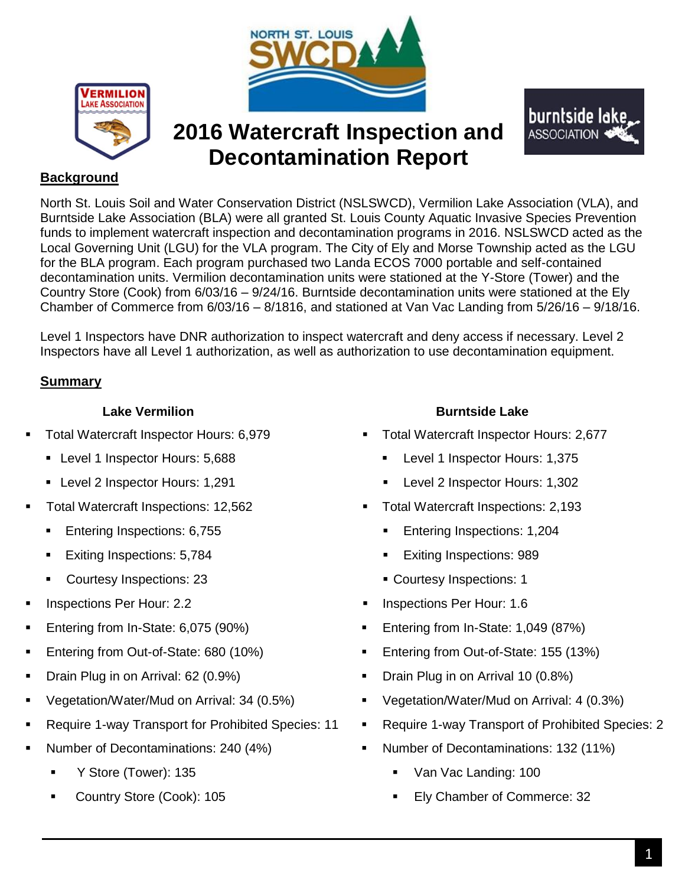



# **2016 Watercraft Inspection and Decontamination Report**



## **Background**

North St. Louis Soil and Water Conservation District (NSLSWCD), Vermilion Lake Association (VLA), and Burntside Lake Association (BLA) were all granted St. Louis County Aquatic Invasive Species Prevention funds to implement watercraft inspection and decontamination programs in 2016. NSLSWCD acted as the Local Governing Unit (LGU) for the VLA program. The City of Ely and Morse Township acted as the LGU for the BLA program. Each program purchased two Landa ECOS 7000 portable and self-contained decontamination units. Vermilion decontamination units were stationed at the Y-Store (Tower) and the Country Store (Cook) from 6/03/16 – 9/24/16. Burntside decontamination units were stationed at the Ely Chamber of Commerce from 6/03/16 – 8/1816, and stationed at Van Vac Landing from 5/26/16 – 9/18/16.

Level 1 Inspectors have DNR authorization to inspect watercraft and deny access if necessary. Level 2 Inspectors have all Level 1 authorization, as well as authorization to use decontamination equipment.

## **Summary**

### **Lake Vermilion Burntside Lake**

- -
	-
- -
	-
	-
- 
- 
- 
- 
- 
- 
- -
	-

- Total Watercraft Inspector Hours: 6,979 Total Watercraft Inspector Hours: 2,677
- Level 1 Inspector Hours: 5,688 <br>■ Level 1 Inspector Hours: 1,375
- Level 2 Inspector Hours: 1,291 Level 2 Inspector Hours: 1,302
- Total Watercraft Inspections: 12,562 **Total Watercraft Inspections: 2,193**
- Entering Inspections: 6,755 Entering Inspections: 1,204
	- Exiting Inspections: 5,784 Exiting Inspections: 989
	- Courtesy Inspections: 23 Courtesy Inspections: 1
- Inspections Per Hour: 2.2 **Inspections Per Hour: 1.6 Inspections Per Hour: 1.6**
- Entering from In-State: 6,075 (90%) Entering from In-State: 1,049 (87%)
- Entering from Out-of-State: 680 (10%) **Entering from Out-of-State: 155 (13%)**
- Drain Plug in on Arrival: 62 (0.9%) **Drain Plug in on Arrival 10 (0.8%)**
- Vegetation/Water/Mud on Arrival: 34 (0.5%) Vegetation/Water/Mud on Arrival: 4 (0.3%)
- Require 1-way Transport for Prohibited Species: 11 **Fig. 2** Require 1-way Transport of Prohibited Species: 2
- Number of Decontaminations: 240 (4%) **Number of Decontaminations: 132 (11%)** Number of Decontaminations: 132 (11%)
	- Y Store (Tower): 135 **Van Vac Landing: 100**
	- Country Store (Cook): 105 Ely Chamber of Commerce: 32